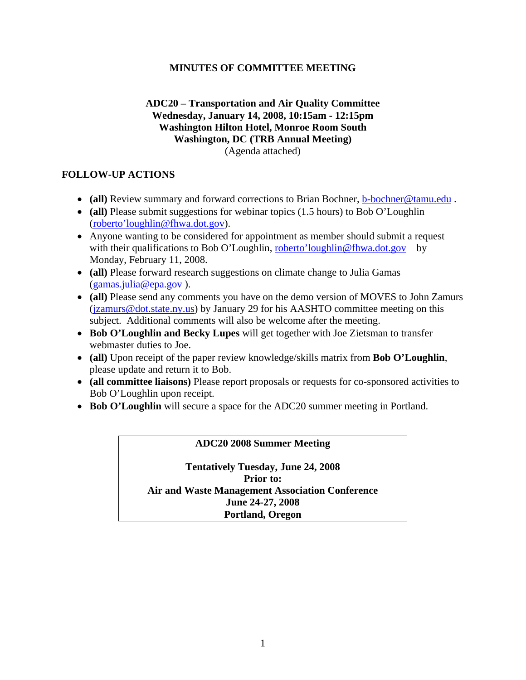## **MINUTES OF COMMITTEE MEETING**

#### **ADC20 – Transportation and Air Quality Committee Wednesday, January 14, 2008, 10:15am - 12:15pm Washington Hilton Hotel, Monroe Room South Washington, DC (TRB Annual Meeting)**  (Agenda attached)

## **FOLLOW-UP ACTIONS**

- **(all)** Review summary and forward corrections to Brian Bochner, b-bochner@tamu.edu.
- **(all)** Please submit suggestions for webinar topics (1.5 hours) to Bob O'Loughlin [\(roberto'loughlin@fhwa.dot.gov](mailto:robertoloughlin@fhwa.dot.gov)).
- Anyone wanting to be considered for appointment as member should submit a request with their qualifications to Bob O'Loughlin, [roberto'loughlin@fhwa.dot.gov](mailto:robertoloughlin@fhwa.dot.gov) by Monday, February 11, 2008.
- **(all)** Please forward research suggestions on climate change to Julia Gamas [\(gamas.julia@epa.gov](mailto:gamas.julia@epa.gov) ).
- **(all)** Please send any comments you have on the demo version of MOVES to John Zamurs (*jzamurs@dot.state.ny.us*) by January 29 for his AASHTO committee meeting on this subject. Additional comments will also be welcome after the meeting.
- **Bob O'Loughlin and Becky Lupes** will get together with Joe Zietsman to transfer webmaster duties to Joe.
- **(all)** Upon receipt of the paper review knowledge/skills matrix from **Bob O'Loughlin**, please update and return it to Bob.
- **(all committee liaisons)** Please report proposals or requests for co-sponsored activities to Bob O'Loughlin upon receipt.
- **Bob O'Loughlin** will secure a space for the ADC20 summer meeting in Portland.

## **ADC20 2008 Summer Meeting**

**Tentatively Tuesday, June 24, 2008 Prior to: Air and Waste Management Association Conference June 24-27, 2008 Portland, Oregon**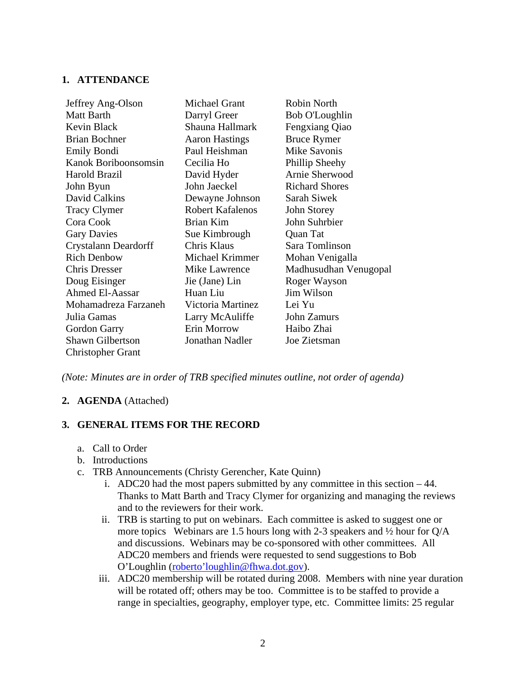#### **1. ATTENDANCE**

| Jeffrey Ang-Olson        | Michael Grant           | Robin North           |
|--------------------------|-------------------------|-----------------------|
| Matt Barth               | Darryl Greer            | Bob O'Loughlin        |
| Kevin Black              | Shauna Hallmark         | Fengxiang Qiao        |
| <b>Brian Bochner</b>     | <b>Aaron Hastings</b>   | <b>Bruce Rymer</b>    |
| Emily Bondi              | Paul Heishman           | <b>Mike Savonis</b>   |
| Kanok Boriboonsomsin     | Cecilia Ho              | Phillip Sheehy        |
| Harold Brazil            | David Hyder             | Arnie Sherwood        |
| John Byun                | John Jaeckel            | <b>Richard Shores</b> |
| David Calkins            | Dewayne Johnson         | Sarah Siwek           |
| <b>Tracy Clymer</b>      | <b>Robert Kafalenos</b> | John Storey           |
| Cora Cook                | Brian Kim               | John Suhrbier         |
| <b>Gary Davies</b>       | Sue Kimbrough           | Quan Tat              |
| Crystalann Deardorff     | Chris Klaus             | Sara Tomlinson        |
| <b>Rich Denbow</b>       | Michael Krimmer         | Mohan Venigalla       |
| <b>Chris Dresser</b>     | Mike Lawrence           | Madhusudhan Venugopal |
| Doug Eisinger            | Jie (Jane) Lin          | Roger Wayson          |
| <b>Ahmed El-Aassar</b>   | Huan Liu                | Jim Wilson            |
| Mohamadreza Farzaneh     | Victoria Martinez       | Lei Yu                |
| Julia Gamas              | Larry McAuliffe         | John Zamurs           |
| Gordon Garry             | Erin Morrow             | Haibo Zhai            |
| <b>Shawn Gilbertson</b>  | Jonathan Nadler         | Joe Zietsman          |
| <b>Christopher Grant</b> |                         |                       |

*(Note: Minutes are in order of TRB specified minutes outline, not order of agenda)* 

## **2. AGENDA** (Attached)

## **3. GENERAL ITEMS FOR THE RECORD**

- a. Call to Order
- b. Introductions
- c. TRB Announcements (Christy Gerencher, Kate Quinn)
	- i. ADC20 had the most papers submitted by any committee in this section 44. Thanks to Matt Barth and Tracy Clymer for organizing and managing the reviews and to the reviewers for their work.
	- ii. TRB is starting to put on webinars. Each committee is asked to suggest one or more topics Webinars are 1.5 hours long with 2-3 speakers and ½ hour for Q/A and discussions. Webinars may be co-sponsored with other committees. All ADC20 members and friends were requested to send suggestions to Bob O'Loughlin ([roberto'loughlin@fhwa.dot.gov\)](mailto:robertoloughlin@fhwa.dot.gov).
	- iii. ADC20 membership will be rotated during 2008. Members with nine year duration will be rotated off; others may be too. Committee is to be staffed to provide a range in specialties, geography, employer type, etc. Committee limits: 25 regular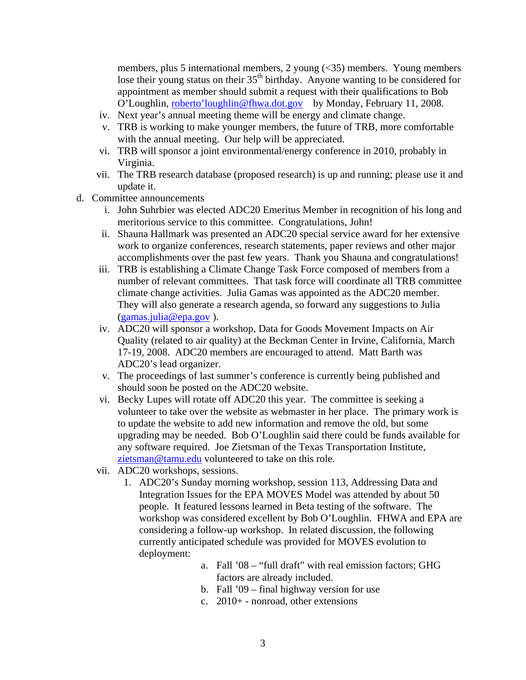members, plus 5 international members, 2 young (<35) members. Young members lose their young status on their 35<sup>th</sup> birthday. Anyone wanting to be considered for appointment as member should submit a request with their qualifications to Bob O'Loughlin, roberto'loughlin@fhwa.dot.gov by Monday, February 11, 2008.

- iv. Next year's annual meeting theme will be energy and climate change.
- v. TRB is working to make younger members, the future of TRB, more comfortable with the annual meeting. Our help will be appreciated.
- vi. TRB will sponsor a joint environmental/energy conference in 2010, probably in Virginia.
- vii. The TRB research database (proposed research) is up and running; please use it and update it.
- d. Committee announcements
	- i. John Suhrbier was elected ADC20 Emeritus Member in recognition of his long and meritorious service to this committee. Congratulations, John!
	- ii. Shauna Hallmark was presented an ADC20 special service award for her extensive work to organize conferences, research statements, paper reviews and other major accomplishments over the past few years. Thank you Shauna and congratulations!
	- iii. TRB is establishing a Climate Change Task Force composed of members from a number of relevant committees. That task force will coordinate all TRB committee climate change activities. Julia Gamas was appointed as the ADC20 member. They will also generate a research agenda, so forward any suggestions to Julia ([gamas.julia@epa.gov](mailto:gamas.julia@epa.gov) ).
	- iv. ADC20 will sponsor a workshop, Data for Goods Movement Impacts on Air Quality (related to air quality) at the Beckman Center in Irvine, California, March 17-19, 2008. ADC20 members are encouraged to attend. Matt Barth was ADC20's lead organizer.
	- v. The proceedings of last summer's conference is currently being published and should soon be posted on the ADC20 website.
	- vi. Becky Lupes will rotate off ADC20 this year. The committee is seeking a volunteer to take over the website as webmaster in her place. The primary work is to update the website to add new information and remove the old, but some upgrading may be needed. Bob O'Loughlin said there could be funds available for any software required. Joe Zietsman of the Texas Transportation Institute, [zietsman@tamu.edu](mailto:zietsman@tamu.edu) volunteered to take on this role.
	- vii. ADC20 workshops, sessions.
		- 1. ADC20's Sunday morning workshop, session 113, Addressing Data and Integration Issues for the EPA MOVES Model was attended by about 50 people. It featured lessons learned in Beta testing of the software. The workshop was considered excellent by Bob O'Loughlin. FHWA and EPA are considering a follow-up workshop. In related discussion, the following currently anticipated schedule was provided for MOVES evolution to deployment:
			- a. Fall '08 "full draft" with real emission factors; GHG factors are already included.
			- b. Fall '09 final highway version for use
			- c. 2010+ nonroad, other extensions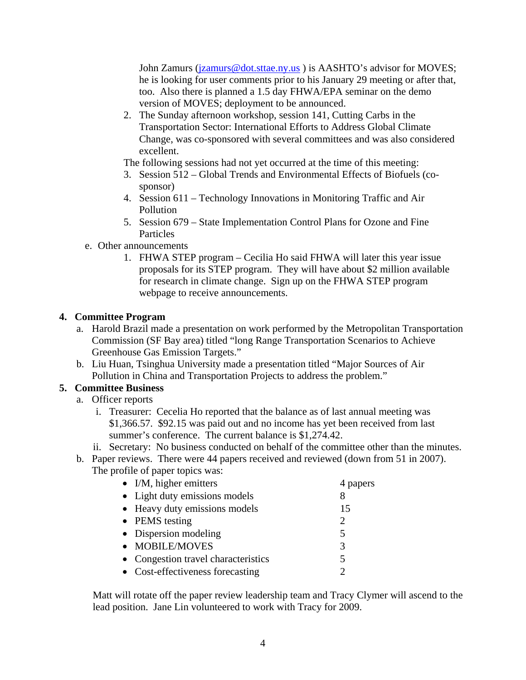John Zamurs (*jzamurs@dot.sttae.ny.us*) is AASHTO's advisor for MOVES; he is looking for user comments prior to his January 29 meeting or after that, too. Also there is planned a 1.5 day FHWA/EPA seminar on the demo version of MOVES; deployment to be announced.

2. The Sunday afternoon workshop, session 141, Cutting Carbs in the Transportation Sector: International Efforts to Address Global Climate Change, was co-sponsored with several committees and was also considered excellent.

The following sessions had not yet occurred at the time of this meeting:

- 3. Session 512 Global Trends and Environmental Effects of Biofuels (cosponsor)
- 4. Session 611 Technology Innovations in Monitoring Traffic and Air Pollution
- 5. Session 679 State Implementation Control Plans for Ozone and Fine Particles
- e. Other announcements
	- 1. FHWA STEP program Cecilia Ho said FHWA will later this year issue proposals for its STEP program. They will have about \$2 million available for research in climate change. Sign up on the FHWA STEP program webpage to receive announcements.

#### **4. Committee Program**

- a. Harold Brazil made a presentation on work performed by the Metropolitan Transportation Commission (SF Bay area) titled "long Range Transportation Scenarios to Achieve Greenhouse Gas Emission Targets."
- b. Liu Huan, Tsinghua University made a presentation titled "Major Sources of Air Pollution in China and Transportation Projects to address the problem."

## **5. Committee Business**

- a. Officer reports
	- i. Treasurer: Cecelia Ho reported that the balance as of last annual meeting was \$1,366.57. \$92.15 was paid out and no income has yet been received from last summer's conference. The current balance is \$1,274.42.
	- ii. Secretary: No business conducted on behalf of the committee other than the minutes.
- b. Paper reviews. There were 44 papers received and reviewed (down from 51 in 2007). The profile of paper topics was:

| $\bullet$ I/M, higher emitters      | 4 papers                    |
|-------------------------------------|-----------------------------|
| • Light duty emissions models       | 8                           |
| • Heavy duty emissions models       | 15                          |
| • PEMS testing                      | $\mathcal{D}_{\mathcal{A}}$ |
| • Dispersion modeling               | 5                           |
| • MOBILE/MOVES                      | 3                           |
| • Congestion travel characteristics |                             |
| • Cost-effectiveness forecasting    |                             |

Matt will rotate off the paper review leadership team and Tracy Clymer will ascend to the lead position. Jane Lin volunteered to work with Tracy for 2009.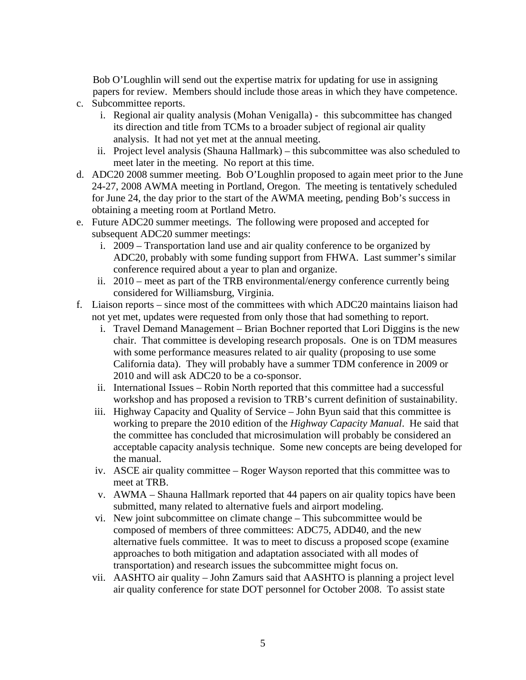Bob O'Loughlin will send out the expertise matrix for updating for use in assigning papers for review. Members should include those areas in which they have competence.

- c. Subcommittee reports.
	- i. Regional air quality analysis (Mohan Venigalla) this subcommittee has changed its direction and title from TCMs to a broader subject of regional air quality analysis. It had not yet met at the annual meeting.
	- ii. Project level analysis (Shauna Hallmark) this subcommittee was also scheduled to meet later in the meeting. No report at this time.
- d. ADC20 2008 summer meeting. Bob O'Loughlin proposed to again meet prior to the June 24-27, 2008 AWMA meeting in Portland, Oregon. The meeting is tentatively scheduled for June 24, the day prior to the start of the AWMA meeting, pending Bob's success in obtaining a meeting room at Portland Metro.
- e. Future ADC20 summer meetings. The following were proposed and accepted for subsequent ADC20 summer meetings:
	- i. 2009 Transportation land use and air quality conference to be organized by ADC20, probably with some funding support from FHWA. Last summer's similar conference required about a year to plan and organize.
	- ii. 2010 meet as part of the TRB environmental/energy conference currently being considered for Williamsburg, Virginia.
- f. Liaison reports since most of the committees with which ADC20 maintains liaison had not yet met, updates were requested from only those that had something to report.
	- i. Travel Demand Management Brian Bochner reported that Lori Diggins is the new chair. That committee is developing research proposals. One is on TDM measures with some performance measures related to air quality (proposing to use some California data). They will probably have a summer TDM conference in 2009 or 2010 and will ask ADC20 to be a co-sponsor.
	- ii. International Issues Robin North reported that this committee had a successful workshop and has proposed a revision to TRB's current definition of sustainability.
	- iii. Highway Capacity and Quality of Service John Byun said that this committee is working to prepare the 2010 edition of the *Highway Capacity Manual*. He said that the committee has concluded that microsimulation will probably be considered an acceptable capacity analysis technique. Some new concepts are being developed for the manual.
	- iv. ASCE air quality committee Roger Wayson reported that this committee was to meet at TRB.
	- v. AWMA Shauna Hallmark reported that 44 papers on air quality topics have been submitted, many related to alternative fuels and airport modeling.
	- vi. New joint subcommittee on climate change This subcommittee would be composed of members of three committees: ADC75, ADD40, and the new alternative fuels committee. It was to meet to discuss a proposed scope (examine approaches to both mitigation and adaptation associated with all modes of transportation) and research issues the subcommittee might focus on.
	- vii. AASHTO air quality John Zamurs said that AASHTO is planning a project level air quality conference for state DOT personnel for October 2008. To assist state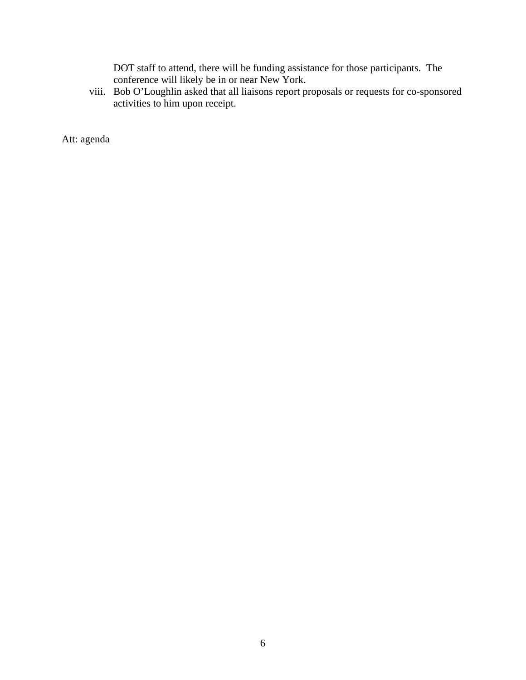DOT staff to attend, there will be funding assistance for those participants. The conference will likely be in or near New York.

viii. Bob O'Loughlin asked that all liaisons report proposals or requests for co-sponsored activities to him upon receipt.

Att: agenda